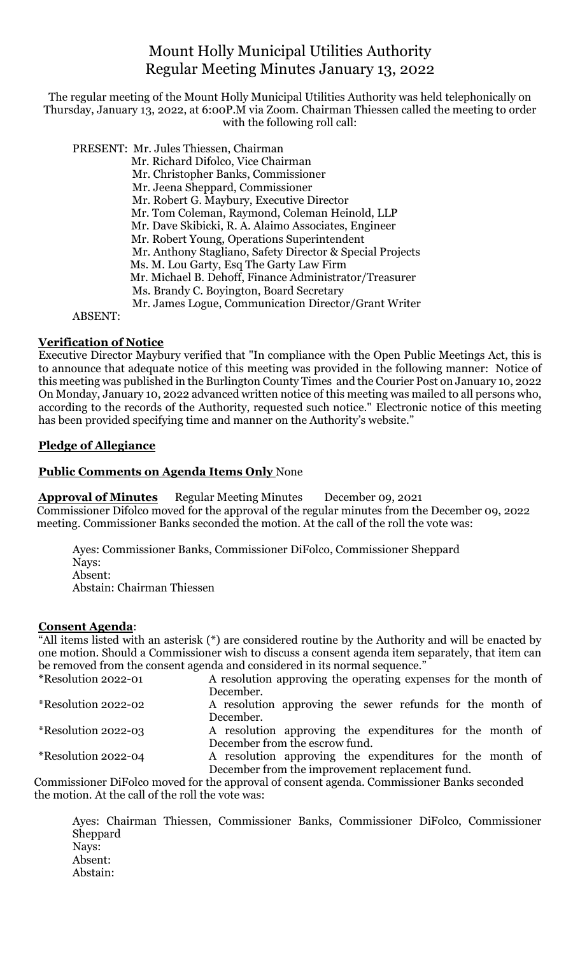# Mount Holly Municipal Utilities Authority Regular Meeting Minutes January 13, 2022

The regular meeting of the Mount Holly Municipal Utilities Authority was held telephonically on Thursday, January 13, 2022, at 6:00P.M via Zoom. Chairman Thiessen called the meeting to order with the following roll call:

 PRESENT: Mr. Jules Thiessen, Chairman Mr. Richard Difolco, Vice Chairman Mr. Christopher Banks, Commissioner Mr. Jeena Sheppard, Commissioner Mr. Robert G. Maybury, Executive Director Mr. Tom Coleman, Raymond, Coleman Heinold, LLP Mr. Dave Skibicki, R. A. Alaimo Associates, Engineer Mr. Robert Young, Operations Superintendent Mr. Anthony Stagliano, Safety Director & Special Projects Ms. M. Lou Garty, Esq The Garty Law Firm Mr. Michael B. Dehoff, Finance Administrator/Treasurer Ms. Brandy C. Boyington, Board Secretary Mr. James Logue, Communication Director/Grant Writer

ABSENT:

#### **Verification of Notice**

Executive Director Maybury verified that "In compliance with the Open Public Meetings Act, this is to announce that adequate notice of this meeting was provided in the following manner: Notice of this meeting was published in the Burlington County Times and the Courier Post on January 10, 2022 On Monday, January 10, 2022 advanced written notice of this meeting was mailed to all persons who, according to the records of the Authority, requested such notice." Electronic notice of this meeting has been provided specifying time and manner on the Authority's website."

## **Pledge of Allegiance**

## **Public Comments on Agenda Items Only** None

**Approval of Minutes** Regular Meeting Minutes December 09, 2021 Commissioner Difolco moved for the approval of the regular minutes from the December 09, 2022 meeting. Commissioner Banks seconded the motion. At the call of the roll the vote was:

Ayes: Commissioner Banks, Commissioner DiFolco, Commissioner Sheppard Nays: Absent: Abstain: Chairman Thiessen

#### **Consent Agenda**:

"All items listed with an asterisk (\*) are considered routine by the Authority and will be enacted by one motion. Should a Commissioner wish to discuss a consent agenda item separately, that item can be removed from the consent agenda and considered in its normal sequence."

| *Resolution 2022-01 | A resolution approving the operating expenses for the month of |
|---------------------|----------------------------------------------------------------|
|                     | December.                                                      |
| *Resolution 2022-02 | A resolution approving the sewer refunds for the month of      |
|                     | December.                                                      |
| *Resolution 2022-03 | A resolution approving the expenditures for the month of       |
|                     | December from the escrow fund.                                 |
| *Resolution 2022-04 | A resolution approving the expenditures for the month of       |
|                     | December from the improvement replacement fund.                |

Commissioner DiFolco moved for the approval of consent agenda. Commissioner Banks seconded the motion. At the call of the roll the vote was:

Ayes: Chairman Thiessen, Commissioner Banks, Commissioner DiFolco, Commissioner Sheppard Nays: Absent: Abstain: